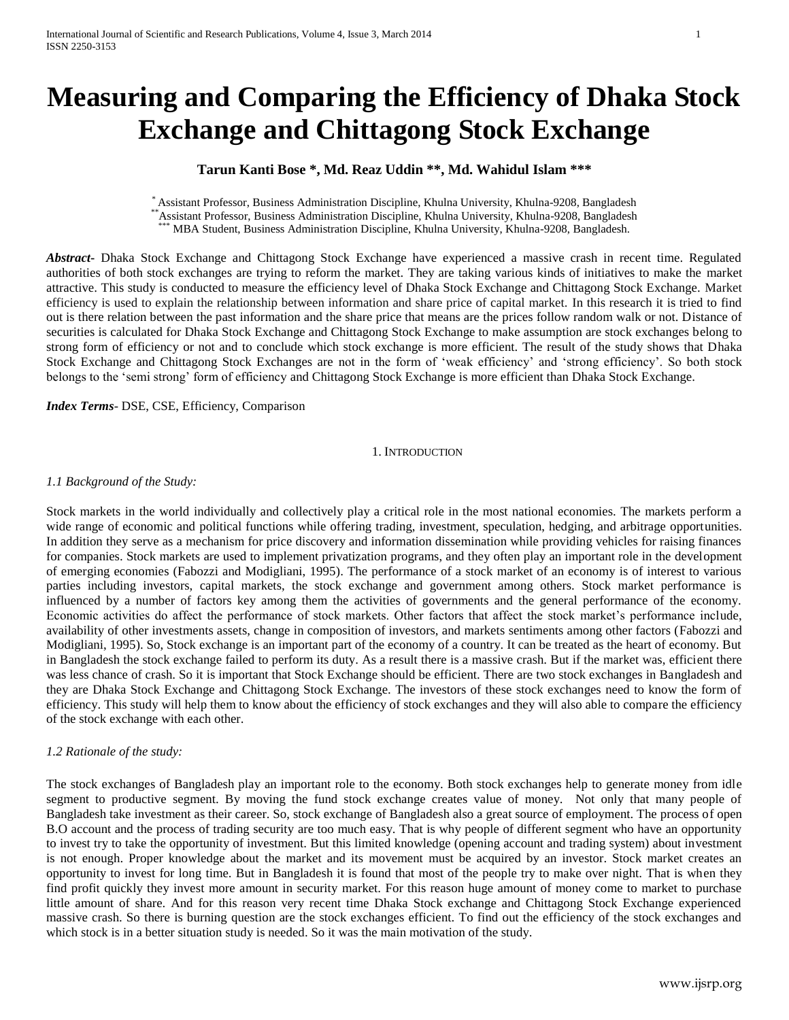# **Measuring and Comparing the Efficiency of Dhaka Stock Exchange and Chittagong Stock Exchange**

## **Tarun Kanti Bose \*, Md. Reaz Uddin \*\*, Md. Wahidul Islam \*\*\***

\* Assistant Professor, Business Administration Discipline, Khulna University, Khulna-9208, Bangladesh \*\*Assistant Professor, Business Administration Discipline, Khulna University, Khulna-9208, Bangladesh \*\*\* MBA Student, Business Administration Discipline, Khulna University, Khulna-9208, Bangladesh.

*Abstract***-** Dhaka Stock Exchange and Chittagong Stock Exchange have experienced a massive crash in recent time. Regulated authorities of both stock exchanges are trying to reform the market. They are taking various kinds of initiatives to make the market attractive. This study is conducted to measure the efficiency level of Dhaka Stock Exchange and Chittagong Stock Exchange. Market efficiency is used to explain the relationship between information and share price of capital market. In this research it is tried to find out is there relation between the past information and the share price that means are the prices follow random walk or not. Distance of securities is calculated for Dhaka Stock Exchange and Chittagong Stock Exchange to make assumption are stock exchanges belong to strong form of efficiency or not and to conclude which stock exchange is more efficient. The result of the study shows that Dhaka Stock Exchange and Chittagong Stock Exchanges are not in the form of 'weak efficiency' and 'strong efficiency'. So both stock belongs to the 'semi strong' form of efficiency and Chittagong Stock Exchange is more efficient than Dhaka Stock Exchange.

*Index Terms*- DSE, CSE, Efficiency, Comparison

#### 1. INTRODUCTION

#### *1.1 Background of the Study:*

Stock markets in the world individually and collectively play a critical role in the most national economies. The markets perform a wide range of economic and political functions while offering trading, investment, speculation, hedging, and arbitrage opportunities. In addition they serve as a mechanism for price discovery and information dissemination while providing vehicles for raising finances for companies. Stock markets are used to implement privatization programs, and they often play an important role in the development of emerging economies (Fabozzi and Modigliani, 1995). The performance of a stock market of an economy is of interest to various parties including investors, capital markets, the stock exchange and government among others. Stock market performance is influenced by a number of factors key among them the activities of governments and the general performance of the economy. Economic activities do affect the performance of stock markets. Other factors that affect the stock market's performance include, availability of other investments assets, change in composition of investors, and markets sentiments among other factors (Fabozzi and Modigliani, 1995). So, Stock exchange is an important part of the economy of a country. It can be treated as the heart of economy. But in Bangladesh the stock exchange failed to perform its duty. As a result there is a massive crash. But if the market was, efficient there was less chance of crash. So it is important that Stock Exchange should be efficient. There are two stock exchanges in Bangladesh and they are Dhaka Stock Exchange and Chittagong Stock Exchange. The investors of these stock exchanges need to know the form of efficiency. This study will help them to know about the efficiency of stock exchanges and they will also able to compare the efficiency of the stock exchange with each other.

#### *1.2 Rationale of the study:*

The stock exchanges of Bangladesh play an important role to the economy. Both stock exchanges help to generate money from idle segment to productive segment. By moving the fund stock exchange creates value of money. Not only that many people of Bangladesh take investment as their career. So, stock exchange of Bangladesh also a great source of employment. The process of open B.O account and the process of trading security are too much easy. That is why people of different segment who have an opportunity to invest try to take the opportunity of investment. But this limited knowledge (opening account and trading system) about investment is not enough. Proper knowledge about the market and its movement must be acquired by an investor. Stock market creates an opportunity to invest for long time. But in Bangladesh it is found that most of the people try to make over night. That is when they find profit quickly they invest more amount in security market. For this reason huge amount of money come to market to purchase little amount of share. And for this reason very recent time Dhaka Stock exchange and Chittagong Stock Exchange experienced massive crash. So there is burning question are the stock exchanges efficient. To find out the efficiency of the stock exchanges and which stock is in a better situation study is needed. So it was the main motivation of the study.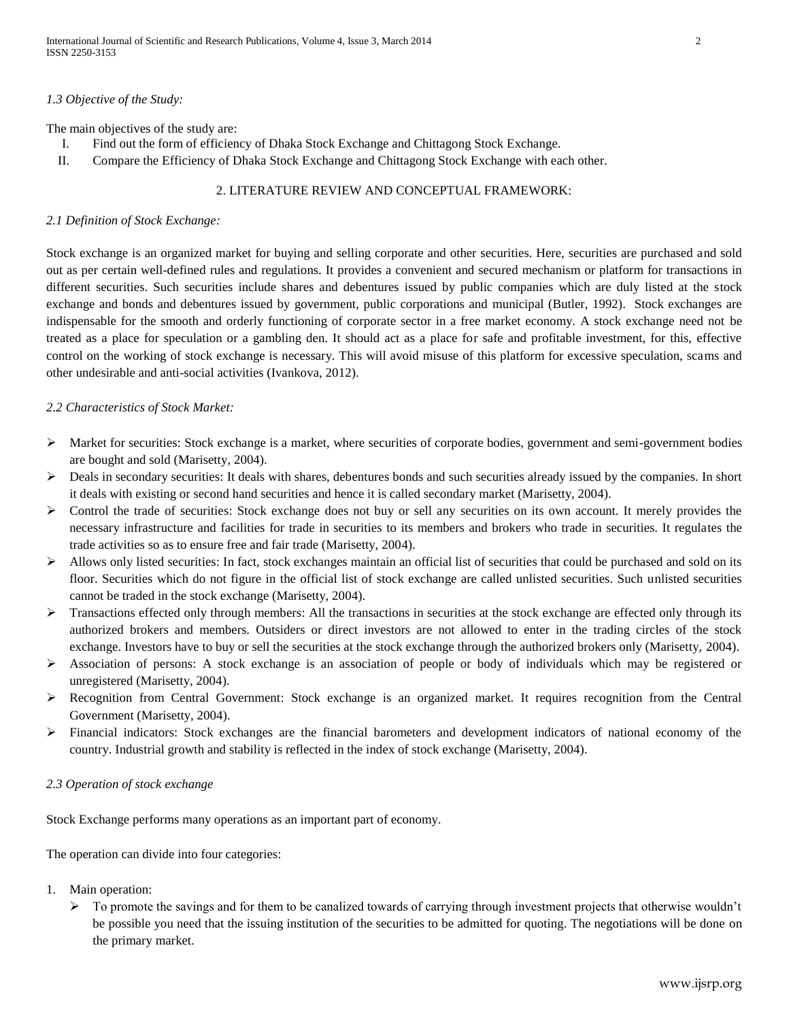#### *1.3 Objective of the Study:*

The main objectives of the study are:

- I. Find out the form of efficiency of Dhaka Stock Exchange and Chittagong Stock Exchange.
- II. Compare the Efficiency of Dhaka Stock Exchange and Chittagong Stock Exchange with each other.

## 2. LITERATURE REVIEW AND CONCEPTUAL FRAMEWORK:

#### *2.1 Definition of Stock Exchange:*

Stock exchange is an organized market for buying and selling corporate and other securities. Here, securities are purchased and sold out as per certain well-defined rules and regulations. It provides a convenient and secured mechanism or platform for transactions in different securities. Such securities include shares and debentures issued by public companies which are duly listed at the stock exchange and bonds and debentures issued by government, public corporations and municipal (Butler, 1992). Stock exchanges are indispensable for the smooth and orderly functioning of corporate sector in a free market economy. A stock exchange need not be treated as a place for speculation or a gambling den. It should act as a place for safe and profitable investment, for this, effective control on the working of stock exchange is necessary. This will avoid misuse of this platform for excessive speculation, scams and other undesirable and anti-social activities (Ivankova, 2012).

#### *2.2 Characteristics of Stock Market:*

- $\triangleright$  Market for securities: Stock exchange is a market, where securities of corporate bodies, government and semi-government bodies are bought and sold (Marisetty, 2004).
- $\triangleright$  Deals in secondary securities: It deals with shares, debentures bonds and such securities already issued by the companies. In short it deals with existing or second hand securities and hence it is called secondary market (Marisetty, 2004).
- $\triangleright$  Control the trade of securities: Stock exchange does not buy or sell any securities on its own account. It merely provides the necessary infrastructure and facilities for trade in securities to its members and brokers who trade in securities. It regulates the trade activities so as to ensure free and fair trade (Marisetty, 2004).
- $\triangleright$  Allows only listed securities: In fact, stock exchanges maintain an official list of securities that could be purchased and sold on its floor. Securities which do not figure in the official list of stock exchange are called unlisted securities. Such unlisted securities cannot be traded in the stock exchange (Marisetty, 2004).
- $\triangleright$  Transactions effected only through members: All the transactions in securities at the stock exchange are effected only through its authorized brokers and members. Outsiders or direct investors are not allowed to enter in the trading circles of the stock exchange. Investors have to buy or sell the securities at the stock exchange through the authorized brokers only (Marisetty, 2004).
- $\triangleright$  Association of persons: A stock exchange is an association of people or body of individuals which may be registered or unregistered (Marisetty, 2004).
- Recognition from Central Government: Stock exchange is an organized market. It requires recognition from the Central Government (Marisetty, 2004).
- $\triangleright$  Financial indicators: Stock exchanges are the financial barometers and development indicators of national economy of the country. Industrial growth and stability is reflected in the index of stock exchange (Marisetty, 2004).

## *2.3 Operation of stock exchange*

Stock Exchange performs many operations as an important part of economy.

The operation can divide into four categories:

- 1. Main operation:
	- $\triangleright$  To promote the savings and for them to be canalized towards of carrying through investment projects that otherwise wouldn't be possible you need that the issuing institution of the securities to be admitted for quoting. The negotiations will be done on the primary market.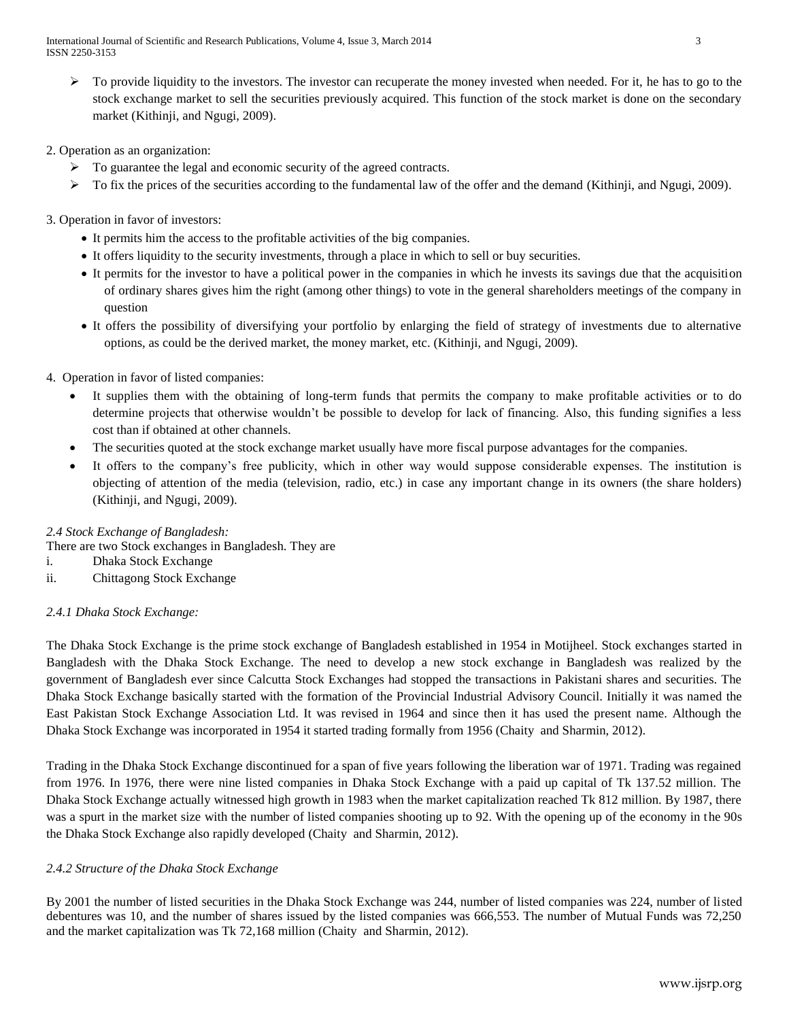$\triangleright$  To provide liquidity to the investors. The investor can recuperate the money invested when needed. For it, he has to go to the stock exchange market to sell the securities previously acquired. This function of the stock market is done on the secondary market (Kithinji, and Ngugi, 2009).

## 2. Operation as an organization:

- $\triangleright$  To guarantee the legal and economic security of the agreed contracts.
- $\triangleright$  To fix the prices of the securities according to the fundamental law of the offer and the demand (Kithinji, and Ngugi, 2009).
- 3. Operation in favor of investors:
	- It permits him the access to the profitable activities of the big companies.
	- It offers liquidity to the security investments, through a place in which to sell or buy securities.
	- It permits for the investor to have a political power in the companies in which he invests its savings due that the acquisition of ordinary shares gives him the right (among other things) to vote in the general shareholders meetings of the company in question
	- It offers the possibility of diversifying your portfolio by enlarging the field of strategy of investments due to alternative options, as could be the derived market, the money market, etc. (Kithinji, and Ngugi, 2009).
- 4. Operation in favor of listed companies:
	- It supplies them with the obtaining of long-term funds that permits the company to make profitable activities or to do determine projects that otherwise wouldn't be possible to develop for lack of financing. Also, this funding signifies a less cost than if obtained at other channels.
	- The securities quoted at the stock exchange market usually have more fiscal purpose advantages for the companies.
	- It offers to the company's free publicity, which in other way would suppose considerable expenses. The institution is objecting of attention of the media (television, radio, etc.) in case any important change in its owners (the share holders) (Kithinji, and Ngugi, 2009).

## *2.4 Stock Exchange of Bangladesh:*

- There are two Stock exchanges in Bangladesh. They are
- i. Dhaka Stock Exchange
- ii. Chittagong Stock Exchange

## *2.4.1 Dhaka Stock Exchange:*

The Dhaka Stock Exchange is the prime stock exchange of Bangladesh established in 1954 in Motijheel. Stock exchanges started in Bangladesh with the Dhaka Stock Exchange. The need to develop a new stock exchange in Bangladesh was realized by the government of Bangladesh ever since Calcutta Stock Exchanges had stopped the transactions in Pakistani shares and securities. The Dhaka Stock Exchange basically started with the formation of the Provincial Industrial Advisory Council. Initially it was named the East Pakistan Stock Exchange Association Ltd. It was revised in 1964 and since then it has used the present name. Although the Dhaka Stock Exchange was incorporated in 1954 it started trading formally from 1956 (Chaity and Sharmin, 2012).

Trading in the Dhaka Stock Exchange discontinued for a span of five years following the liberation war of 1971. Trading was regained from 1976. In 1976, there were nine listed companies in Dhaka Stock Exchange with a paid up capital of Tk 137.52 million. The Dhaka Stock Exchange actually witnessed high growth in 1983 when the market capitalization reached Tk 812 million. By 1987, there was a spurt in the market size with the number of listed companies shooting up to 92. With the opening up of the economy in the 90s the Dhaka Stock Exchange also rapidly developed (Chaity and Sharmin, 2012).

## *2.4.2 Structure of the Dhaka Stock Exchange*

By 2001 the number of listed securities in the Dhaka Stock Exchange was 244, number of listed companies was 224, number of listed debentures was 10, and the number of shares issued by the listed companies was 666,553. The number of Mutual Funds was 72,250 and the market capitalization was Tk 72,168 million (Chaity and Sharmin, 2012).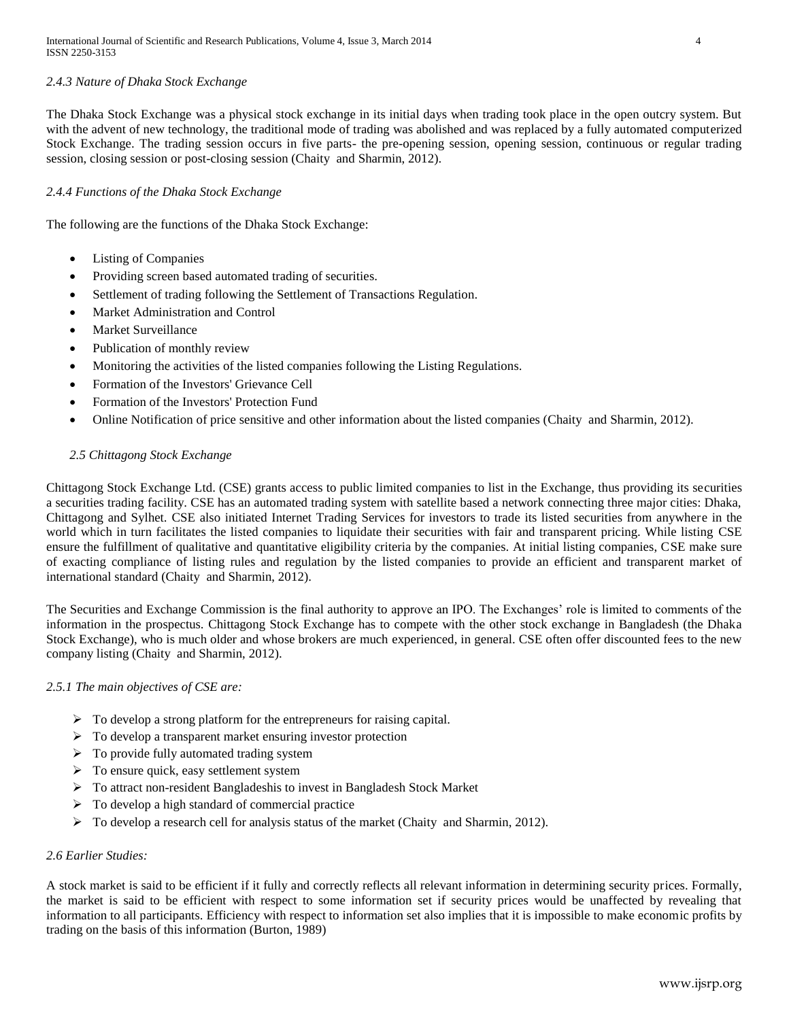## *2.4.3 Nature of Dhaka Stock Exchange*

The Dhaka Stock Exchange was a physical stock exchange in its initial days when trading took place in the open outcry system. But with the advent of new technology, the traditional mode of trading was abolished and was replaced by a fully automated computerized Stock Exchange. The trading session occurs in five parts- the pre-opening session, opening session, continuous or regular trading session, closing session or post-closing session (Chaity and Sharmin, 2012).

## *2.4.4 Functions of the Dhaka Stock Exchange*

The following are the functions of the Dhaka Stock Exchange:

- Listing of Companies
- Providing screen based automated trading of securities.
- Settlement of trading following the Settlement of Transactions Regulation.
- Market Administration and Control
- Market Surveillance
- Publication of monthly review
- Monitoring the activities of the listed companies following the Listing Regulations.
- Formation of the Investors' Grievance Cell
- Formation of the Investors' Protection Fund
- Online Notification of price sensitive and other information about the listed companies (Chaity and Sharmin, 2012).

## *2.5 Chittagong Stock Exchange*

Chittagong Stock Exchange Ltd. (CSE) grants access to public limited companies to list in the Exchange, thus providing its securities a securities trading facility. CSE has an automated trading system with satellite based a network connecting three major cities: Dhaka, Chittagong and Sylhet. CSE also initiated Internet Trading Services for investors to trade its listed securities from anywhere in the world which in turn facilitates the listed companies to liquidate their securities with fair and transparent pricing. While listing CSE ensure the fulfillment of qualitative and quantitative eligibility criteria by the companies. At initial listing companies, CSE make sure of exacting compliance of listing rules and regulation by the listed companies to provide an efficient and transparent market of international standard (Chaity and Sharmin, 2012).

The Securities and Exchange Commission is the final authority to approve an IPO. The Exchanges' role is limited to comments of the information in the prospectus. Chittagong Stock Exchange has to compete with the other stock exchange in Bangladesh (the Dhaka Stock Exchange), who is much older and whose brokers are much experienced, in general. CSE often offer discounted fees to the new company listing (Chaity and Sharmin, 2012).

## *2.5.1 The main objectives of CSE are:*

- $\triangleright$  To develop a strong platform for the entrepreneurs for raising capital.
- $\triangleright$  To develop a transparent market ensuring investor protection
- $\triangleright$  To provide fully automated trading system
- $\triangleright$  To ensure quick, easy settlement system
- To attract non-resident Bangladeshis to invest in Bangladesh Stock Market
- $\triangleright$  To develop a high standard of commercial practice
- $\triangleright$  To develop a research cell for analysis status of the market (Chaity and Sharmin, 2012).

#### *2.6 Earlier Studies:*

A stock market is said to be efficient if it fully and correctly reflects all relevant information in determining security prices. Formally, the market is said to be efficient with respect to some information set if security prices would be unaffected by revealing that information to all participants. Efficiency with respect to information set also implies that it is impossible to make economic profits by trading on the basis of this information (Burton, 1989)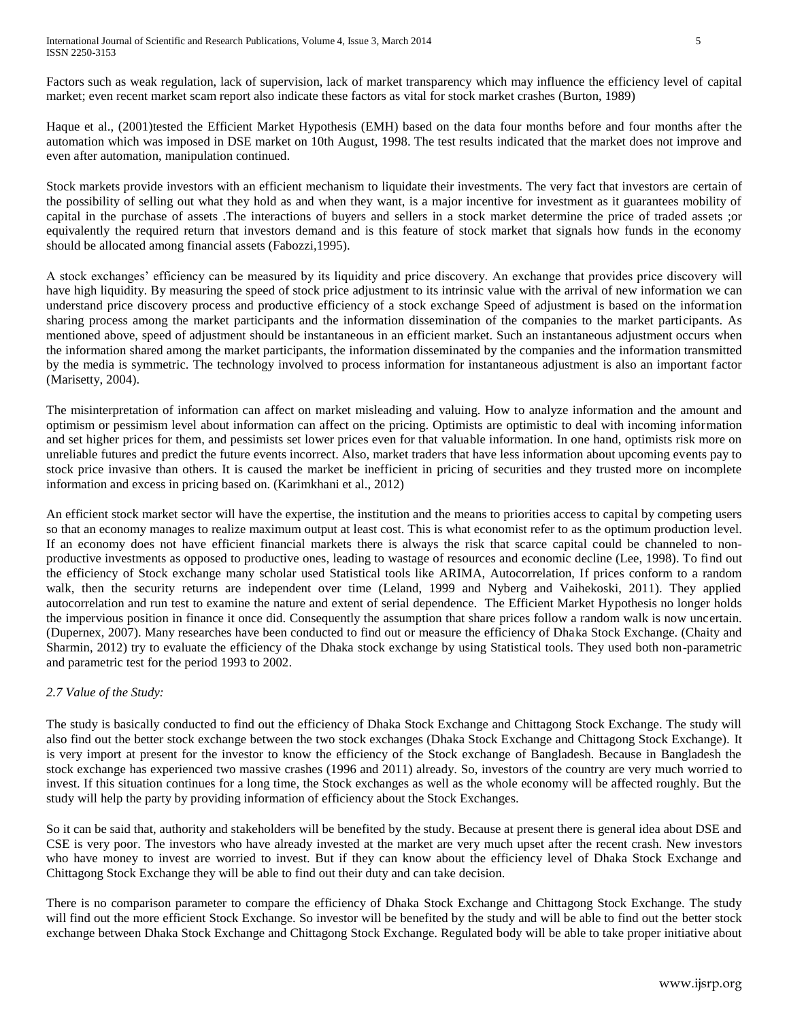Factors such as weak regulation, lack of supervision, lack of market transparency which may influence the efficiency level of capital market; even recent market scam report also indicate these factors as vital for stock market crashes (Burton, 1989)

Haque et al., (2001)tested the Efficient Market Hypothesis (EMH) based on the data four months before and four months after the automation which was imposed in DSE market on 10th August, 1998. The test results indicated that the market does not improve and even after automation, manipulation continued.

Stock markets provide investors with an efficient mechanism to liquidate their investments. The very fact that investors are certain of the possibility of selling out what they hold as and when they want, is a major incentive for investment as it guarantees mobility of capital in the purchase of assets .The interactions of buyers and sellers in a stock market determine the price of traded assets ;or equivalently the required return that investors demand and is this feature of stock market that signals how funds in the economy should be allocated among financial assets (Fabozzi,1995).

A stock exchanges' efficiency can be measured by its liquidity and price discovery. An exchange that provides price discovery will have high liquidity. By measuring the speed of stock price adjustment to its intrinsic value with the arrival of new information we can understand price discovery process and productive efficiency of a stock exchange Speed of adjustment is based on the information sharing process among the market participants and the information dissemination of the companies to the market participants. As mentioned above, speed of adjustment should be instantaneous in an efficient market. Such an instantaneous adjustment occurs when the information shared among the market participants, the information disseminated by the companies and the information transmitted by the media is symmetric. The technology involved to process information for instantaneous adjustment is also an important factor (Marisetty, 2004).

The misinterpretation of information can affect on market misleading and valuing. How to analyze information and the amount and optimism or pessimism level about information can affect on the pricing. Optimists are optimistic to deal with incoming information and set higher prices for them, and pessimists set lower prices even for that valuable information. In one hand, optimists risk more on unreliable futures and predict the future events incorrect. Also, market traders that have less information about upcoming events pay to stock price invasive than others. It is caused the market be inefficient in pricing of securities and they trusted more on incomplete information and excess in pricing based on. (Karimkhani et al., 2012)

An efficient stock market sector will have the expertise, the institution and the means to priorities access to capital by competing users so that an economy manages to realize maximum output at least cost. This is what economist refer to as the optimum production level. If an economy does not have efficient financial markets there is always the risk that scarce capital could be channeled to nonproductive investments as opposed to productive ones, leading to wastage of resources and economic decline (Lee, 1998). To find out the efficiency of Stock exchange many scholar used Statistical tools like ARIMA, Autocorrelation, If prices conform to a random walk, then the security returns are independent over time (Leland, 1999 and Nyberg and Vaihekoski, 2011). They applied autocorrelation and run test to examine the nature and extent of serial dependence. The Efficient Market Hypothesis no longer holds the impervious position in finance it once did. Consequently the assumption that share prices follow a random walk is now uncertain. (Dupernex, 2007). Many researches have been conducted to find out or measure the efficiency of Dhaka Stock Exchange. (Chaity and Sharmin, 2012) try to evaluate the efficiency of the Dhaka stock exchange by using Statistical tools. They used both non-parametric and parametric test for the period 1993 to 2002.

## *2.7 Value of the Study:*

The study is basically conducted to find out the efficiency of Dhaka Stock Exchange and Chittagong Stock Exchange. The study will also find out the better stock exchange between the two stock exchanges (Dhaka Stock Exchange and Chittagong Stock Exchange). It is very import at present for the investor to know the efficiency of the Stock exchange of Bangladesh. Because in Bangladesh the stock exchange has experienced two massive crashes (1996 and 2011) already. So, investors of the country are very much worried to invest. If this situation continues for a long time, the Stock exchanges as well as the whole economy will be affected roughly. But the study will help the party by providing information of efficiency about the Stock Exchanges.

So it can be said that, authority and stakeholders will be benefited by the study. Because at present there is general idea about DSE and CSE is very poor. The investors who have already invested at the market are very much upset after the recent crash. New investors who have money to invest are worried to invest. But if they can know about the efficiency level of Dhaka Stock Exchange and Chittagong Stock Exchange they will be able to find out their duty and can take decision.

There is no comparison parameter to compare the efficiency of Dhaka Stock Exchange and Chittagong Stock Exchange. The study will find out the more efficient Stock Exchange. So investor will be benefited by the study and will be able to find out the better stock exchange between Dhaka Stock Exchange and Chittagong Stock Exchange. Regulated body will be able to take proper initiative about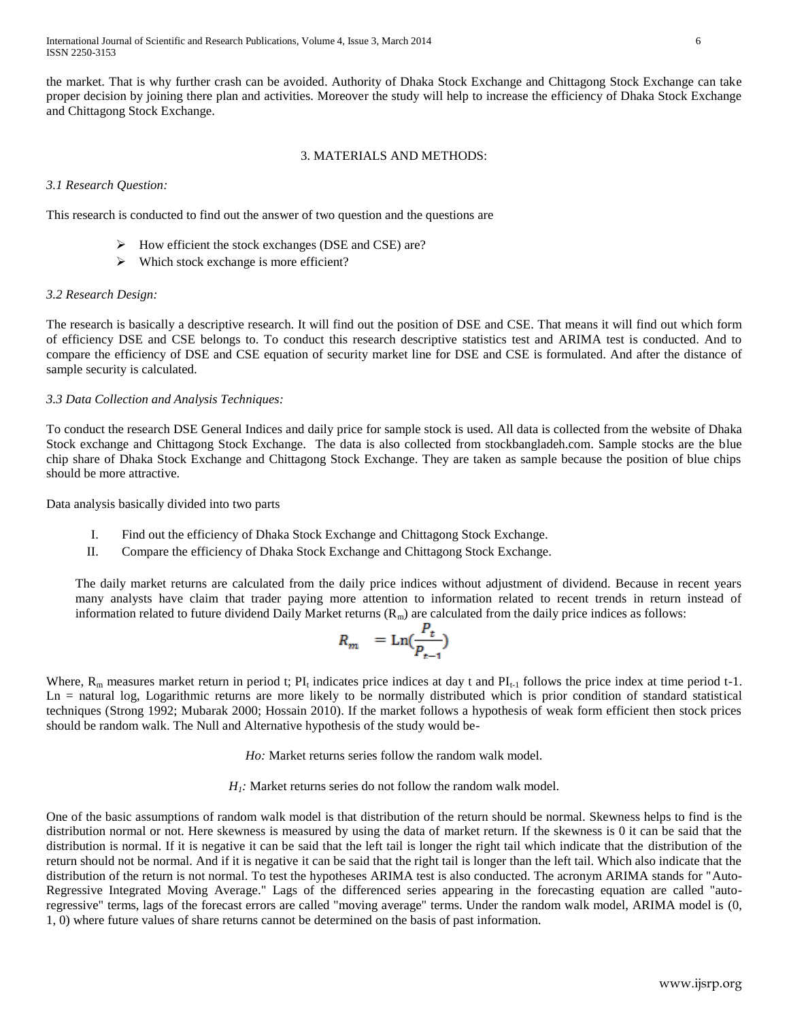the market. That is why further crash can be avoided. Authority of Dhaka Stock Exchange and Chittagong Stock Exchange can take proper decision by joining there plan and activities. Moreover the study will help to increase the efficiency of Dhaka Stock Exchange and Chittagong Stock Exchange.

## 3. MATERIALS AND METHODS:

## *3.1 Research Question:*

This research is conducted to find out the answer of two question and the questions are

- $\triangleright$  How efficient the stock exchanges (DSE and CSE) are?
- $\triangleright$  Which stock exchange is more efficient?

## *3.2 Research Design:*

The research is basically a descriptive research. It will find out the position of DSE and CSE. That means it will find out which form of efficiency DSE and CSE belongs to. To conduct this research descriptive statistics test and ARIMA test is conducted. And to compare the efficiency of DSE and CSE equation of security market line for DSE and CSE is formulated. And after the distance of sample security is calculated.

## *3.3 Data Collection and Analysis Techniques:*

To conduct the research DSE General Indices and daily price for sample stock is used. All data is collected from the website of Dhaka Stock exchange and Chittagong Stock Exchange. The data is also collected from stockbangladeh.com. Sample stocks are the blue chip share of Dhaka Stock Exchange and Chittagong Stock Exchange. They are taken as sample because the position of blue chips should be more attractive.

Data analysis basically divided into two parts

- I. Find out the efficiency of Dhaka Stock Exchange and Chittagong Stock Exchange.
- II. Compare the efficiency of Dhaka Stock Exchange and Chittagong Stock Exchange.

The daily market returns are calculated from the daily price indices without adjustment of dividend. Because in recent years many analysts have claim that trader paying more attention to information related to recent trends in return instead of information related to future dividend Daily Market returns  $(R_m)$  are calculated from the daily price indices as follows:

$$
R_m = \text{Ln}(\frac{P_t}{P_{t-1}})
$$

Where,  $R_m$  measures market return in period t;  $PI_t$  indicates price indices at day t and  $PI_{t-1}$  follows the price index at time period t-1. Ln = natural log, Logarithmic returns are more likely to be normally distributed which is prior condition of standard statistical techniques (Strong 1992; Mubarak 2000; Hossain 2010). If the market follows a hypothesis of weak form efficient then stock prices should be random walk. The Null and Alternative hypothesis of the study would be-

*Ho:* Market returns series follow the random walk model.

*H1:* Market returns series do not follow the random walk model.

One of the basic assumptions of random walk model is that distribution of the return should be normal. Skewness helps to find is the distribution normal or not. Here skewness is measured by using the data of market return. If the skewness is 0 it can be said that the distribution is normal. If it is negative it can be said that the left tail is longer the right tail which indicate that the distribution of the return should not be normal. And if it is negative it can be said that the right tail is longer than the left tail. Which also indicate that the distribution of the return is not normal. To test the hypotheses ARIMA test is also conducted. The acronym ARIMA stands for "Auto-Regressive Integrated Moving Average." Lags of the differenced series appearing in the forecasting equation are called "autoregressive" terms, lags of the forecast errors are called "moving average" terms. Under the random walk model, ARIMA model is (0, 1, 0) where future values of share returns cannot be determined on the basis of past information.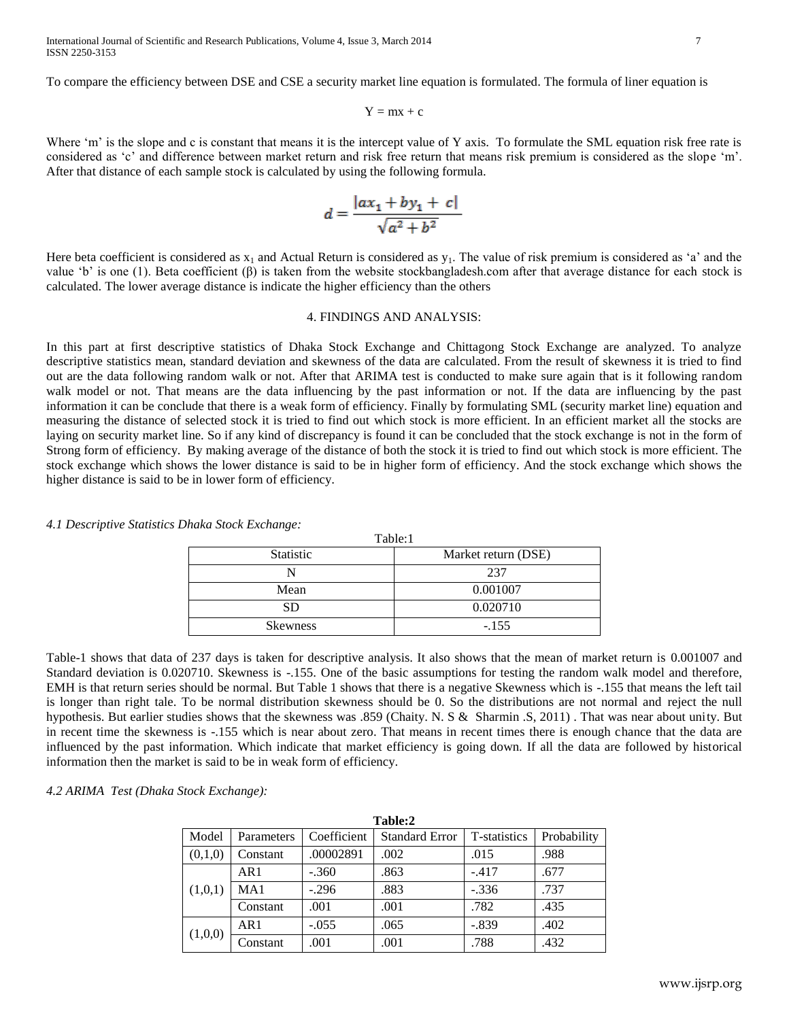To compare the efficiency between DSE and CSE a security market line equation is formulated. The formula of liner equation is

$$
Y = mx + c \\
$$

Where 'm' is the slope and c is constant that means it is the intercept value of Y axis. To formulate the SML equation risk free rate is considered as 'c' and difference between market return and risk free return that means risk premium is considered as the slope 'm'. After that distance of each sample stock is calculated by using the following formula.

$$
d = \frac{|ax_1 + by_1 + c|}{\sqrt{a^2 + b^2}}
$$

Here beta coefficient is considered as  $x_1$  and Actual Return is considered as  $y_1$ . The value of risk premium is considered as 'a' and the value 'b' is one (1). Beta coefficient (β) is taken from the website stockbangladesh.com after that average distance for each stock is calculated. The lower average distance is indicate the higher efficiency than the others

### 4. FINDINGS AND ANALYSIS:

In this part at first descriptive statistics of Dhaka Stock Exchange and Chittagong Stock Exchange are analyzed. To analyze descriptive statistics mean, standard deviation and skewness of the data are calculated. From the result of skewness it is tried to find out are the data following random walk or not. After that ARIMA test is conducted to make sure again that is it following random walk model or not. That means are the data influencing by the past information or not. If the data are influencing by the past information it can be conclude that there is a weak form of efficiency. Finally by formulating SML (security market line) equation and measuring the distance of selected stock it is tried to find out which stock is more efficient. In an efficient market all the stocks are laying on security market line. So if any kind of discrepancy is found it can be concluded that the stock exchange is not in the form of Strong form of efficiency. By making average of the distance of both the stock it is tried to find out which stock is more efficient. The stock exchange which shows the lower distance is said to be in higher form of efficiency. And the stock exchange which shows the higher distance is said to be in lower form of efficiency.

*4.1 Descriptive Statistics Dhaka Stock Exchange:*

| <b>Statistic</b> | 1 avie. I<br>Market return (DSE) |  |
|------------------|----------------------------------|--|
|                  | 237                              |  |
| Mean             | 0.001007                         |  |
| SD               | 0.020710                         |  |
| <b>Skewness</b>  | $-.155$                          |  |

 $T = 1.1...1$ 

Table-1 shows that data of 237 days is taken for descriptive analysis. It also shows that the mean of market return is 0.001007 and Standard deviation is 0.020710. Skewness is -.155. One of the basic assumptions for testing the random walk model and therefore, EMH is that return series should be normal. But Table 1 shows that there is a negative Skewness which is -.155 that means the left tail is longer than right tale. To be normal distribution skewness should be 0. So the distributions are not normal and reject the null hypothesis. But earlier studies shows that the skewness was .859 (Chaity. N. S & Sharmin .S, 2011) . That was near about unity. But in recent time the skewness is -.155 which is near about zero. That means in recent times there is enough chance that the data are influenced by the past information. Which indicate that market efficiency is going down. If all the data are followed by historical information then the market is said to be in weak form of efficiency.

#### *4.2 ARIMA Test (Dhaka Stock Exchange):*

| Table:2 |            |             |                       |              |             |
|---------|------------|-------------|-----------------------|--------------|-------------|
| Model   | Parameters | Coefficient | <b>Standard Error</b> | T-statistics | Probability |
| (0,1,0) | Constant   | .00002891   | .002                  | .015         | .988        |
| (1,0,1) | AR1        | $-.360$     | .863                  | $-.417$      | .677        |
|         | MA1        | $-.296$     | .883                  | $-.336$      | .737        |
|         | Constant   | .001        | .001                  | .782         | .435        |
| (1,0,0) | AR1        | $-.055$     | .065                  | $-.839$      | .402        |
|         | Constant   | .001        | .001                  | .788         | .432        |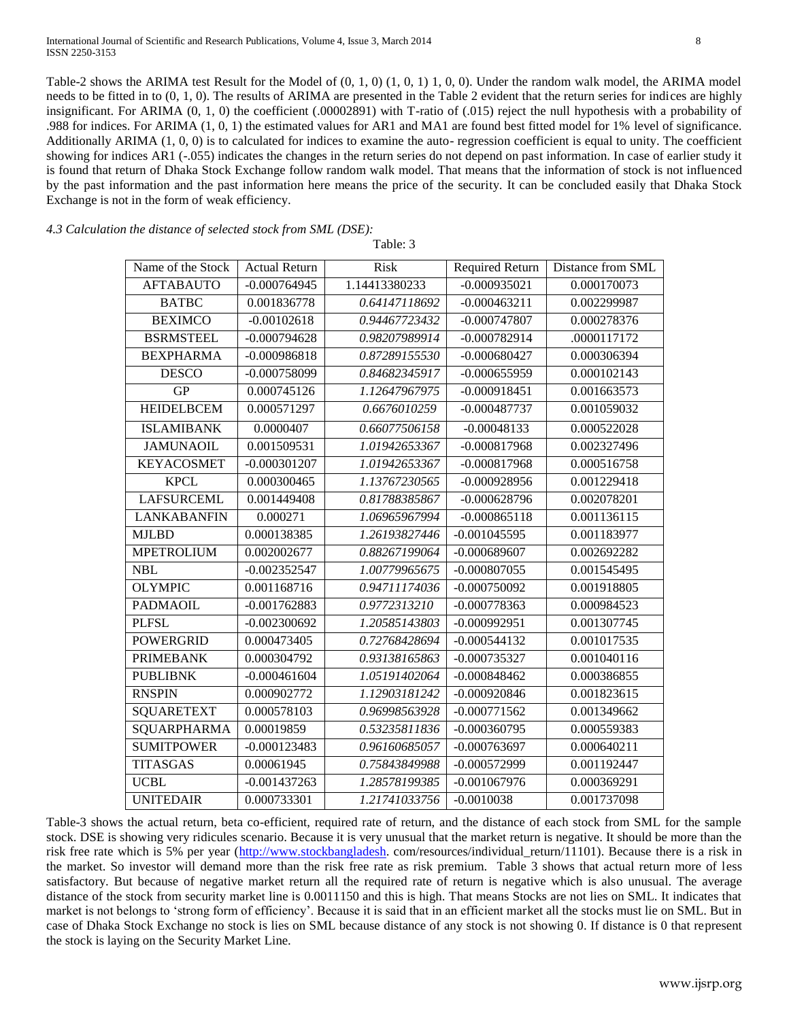Table-2 shows the ARIMA test Result for the Model of (0, 1, 0) (1, 0, 1) 1, 0, 0). Under the random walk model, the ARIMA model needs to be fitted in to (0, 1, 0). The results of ARIMA are presented in the Table 2 evident that the return series for indices are highly insignificant. For ARIMA (0, 1, 0) the coefficient (.00002891) with T-ratio of (.015) reject the null hypothesis with a probability of .988 for indices. For ARIMA (1, 0, 1) the estimated values for AR1 and MA1 are found best fitted model for 1% level of significance. Additionally ARIMA (1, 0, 0) is to calculated for indices to examine the auto- regression coefficient is equal to unity. The coefficient showing for indices AR1 (-.055) indicates the changes in the return series do not depend on past information. In case of earlier study it is found that return of Dhaka Stock Exchange follow random walk model. That means that the information of stock is not influenced by the past information and the past information here means the price of the security. It can be concluded easily that Dhaka Stock Exchange is not in the form of weak efficiency.

Table: 3

*4.3 Calculation the distance of selected stock from SML (DSE):*

| Name of the Stock  | <b>Actual Return</b> | <b>Risk</b>   | Required Return | Distance from SML |
|--------------------|----------------------|---------------|-----------------|-------------------|
| <b>AFTABAUTO</b>   | $-0.000764945$       | 1.14413380233 | $-0.000935021$  | 0.000170073       |
| <b>BATBC</b>       | 0.001836778          | 0.64147118692 | $-0.000463211$  | 0.002299987       |
| <b>BEXIMCO</b>     | $-0.00102618$        | 0.94467723432 | $-0.000747807$  | 0.000278376       |
| <b>BSRMSTEEL</b>   | $-0.000794628$       | 0.98207989914 | $-0.000782914$  | .0000117172       |
| <b>BEXPHARMA</b>   | $-0.000986818$       | 0.87289155530 | $-0.000680427$  | 0.000306394       |
| <b>DESCO</b>       | $-0.000758099$       | 0.84682345917 | $-0.000655959$  | 0.000102143       |
| <b>GP</b>          | 0.000745126          | 1.12647967975 | $-0.000918451$  | 0.001663573       |
| <b>HEIDELBCEM</b>  | 0.000571297          | 0.6676010259  | $-0.000487737$  | 0.001059032       |
| <b>ISLAMIBANK</b>  | 0.0000407            | 0.66077506158 | $-0.00048133$   | 0.000522028       |
| <b>JAMUNAOIL</b>   | 0.001509531          | 1.01942653367 | $-0.000817968$  | 0.002327496       |
| <b>KEYACOSMET</b>  | $-0.000301207$       | 1.01942653367 | $-0.000817968$  | 0.000516758       |
| <b>KPCL</b>        | 0.000300465          | 1.13767230565 | $-0.000928956$  | 0.001229418       |
| <b>LAFSURCEML</b>  | 0.001449408          | 0.81788385867 | $-0.000628796$  | 0.002078201       |
| <b>LANKABANFIN</b> | 0.000271             | 1.06965967994 | $-0.000865118$  | 0.001136115       |
| <b>MJLBD</b>       | 0.000138385          | 1.26193827446 | $-0.001045595$  | 0.001183977       |
| <b>MPETROLIUM</b>  | 0.002002677          | 0.88267199064 | $-0.000689607$  | 0.002692282       |
| <b>NBL</b>         | $-0.002352547$       | 1.00779965675 | $-0.000807055$  | 0.001545495       |
| <b>OLYMPIC</b>     | 0.001168716          | 0.94711174036 | $-0.000750092$  | 0.001918805       |
| <b>PADMAOIL</b>    | $-0.001762883$       | 0.9772313210  | $-0.000778363$  | 0.000984523       |
| <b>PLFSL</b>       | $-0.002300692$       | 1.20585143803 | $-0.000992951$  | 0.001307745       |
| <b>POWERGRID</b>   | 0.000473405          | 0.72768428694 | $-0.000544132$  | 0.001017535       |
| <b>PRIMEBANK</b>   | 0.000304792          | 0.93138165863 | $-0.000735327$  | 0.001040116       |
| <b>PUBLIBNK</b>    | $-0.000461604$       | 1.05191402064 | $-0.000848462$  | 0.000386855       |
| <b>RNSPIN</b>      | 0.000902772          | 1.12903181242 | $-0.000920846$  | 0.001823615       |
| <b>SQUARETEXT</b>  | 0.000578103          | 0.96998563928 | $-0.000771562$  | 0.001349662       |
| SQUARPHARMA        | 0.00019859           | 0.53235811836 | $-0.000360795$  | 0.000559383       |
| <b>SUMITPOWER</b>  | $-0.000123483$       | 0.96160685057 | $-0.000763697$  | 0.000640211       |
| <b>TITASGAS</b>    | 0.00061945           | 0.75843849988 | $-0.000572999$  | 0.001192447       |
| <b>UCBL</b>        | $-0.001437263$       | 1.28578199385 | $-0.001067976$  | 0.000369291       |
| <b>UNITEDAIR</b>   | 0.000733301          | 1.21741033756 | $-0.0010038$    | 0.001737098       |

Table-3 shows the actual return, beta co-efficient, required rate of return, and the distance of each stock from SML for the sample stock. DSE is showing very ridicules scenario. Because it is very unusual that the market return is negative. It should be more than the risk free rate which is 5% per year [\(http://www.stockbangladesh.](http://www.stockbangladesh/) com/resources/individual\_return/11101). Because there is a risk in the market. So investor will demand more than the risk free rate as risk premium. Table 3 shows that actual return more of less satisfactory. But because of negative market return all the required rate of return is negative which is also unusual. The average distance of the stock from security market line is 0.0011150 and this is high. That means Stocks are not lies on SML. It indicates that market is not belongs to 'strong form of efficiency'. Because it is said that in an efficient market all the stocks must lie on SML. But in case of Dhaka Stock Exchange no stock is lies on SML because distance of any stock is not showing 0. If distance is 0 that represent the stock is laying on the Security Market Line.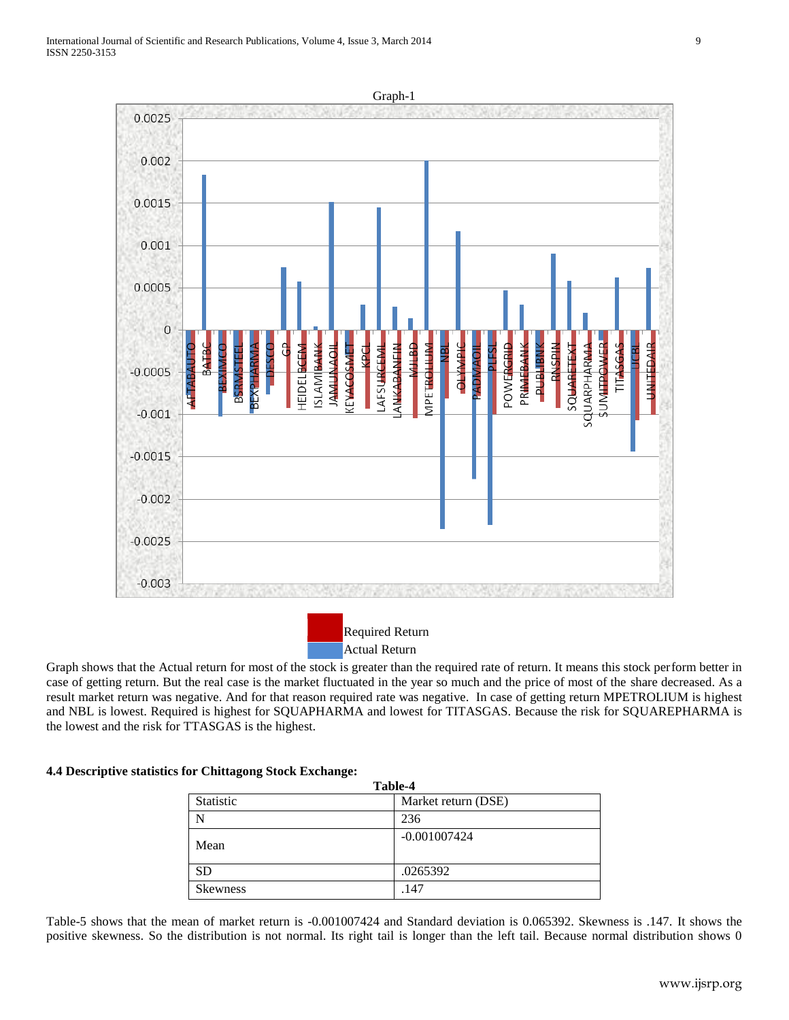

Graph shows that the Actual return for most of the stock is greater than the required rate of return. It means this stock perform better in case of getting return. But the real case is the market fluctuated in the year so much and the price of most of the share decreased. As a result market return was negative. And for that reason required rate was negative. In case of getting return MPETROLIUM is highest and NBL is lowest. Required is highest for SQUAPHARMA and lowest for TITASGAS. Because the risk for SQUAREPHARMA is the lowest and the risk for TTASGAS is the highest.

#### **4.4 Descriptive statistics for Chittagong Stock Exchange:**

| Table-4          |                     |  |  |
|------------------|---------------------|--|--|
| <b>Statistic</b> | Market return (DSE) |  |  |
| N                | 236                 |  |  |
| Mean             | $-0.001007424$      |  |  |
| <b>SD</b>        | .0265392            |  |  |
| <b>Skewness</b>  | .147                |  |  |

Table-5 shows that the mean of market return is -0.001007424 and Standard deviation is 0.065392. Skewness is .147. It shows the positive skewness. So the distribution is not normal. Its right tail is longer than the left tail. Because normal distribution shows 0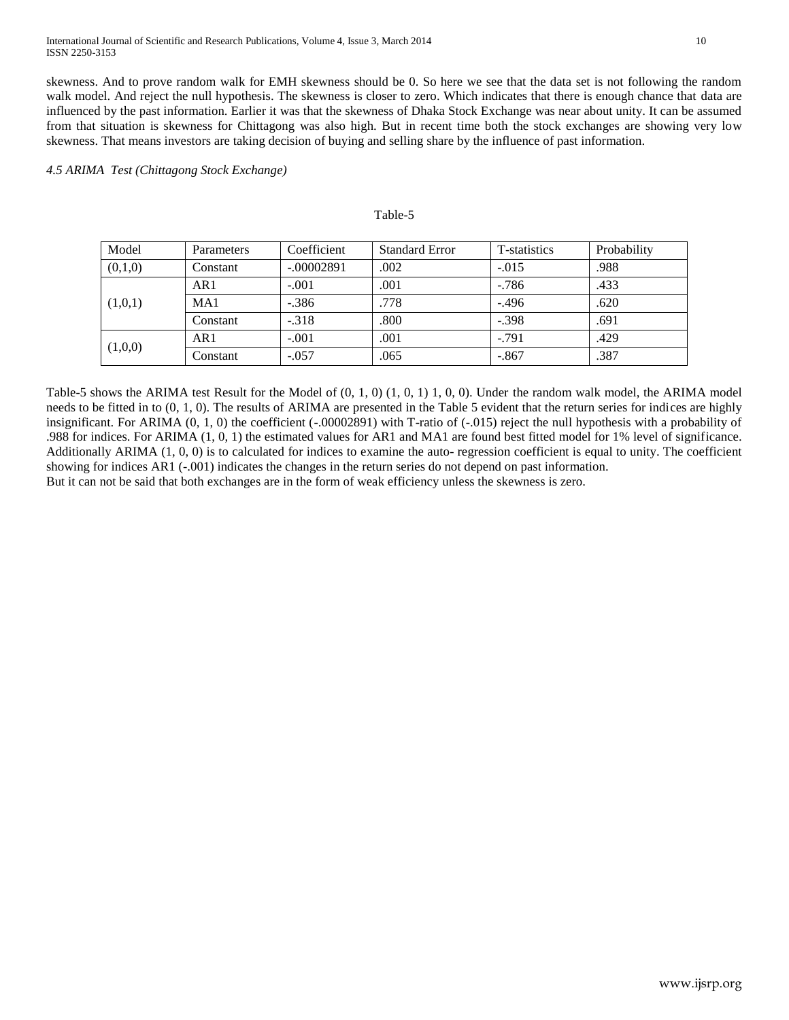skewness. And to prove random walk for EMH skewness should be 0. So here we see that the data set is not following the random walk model. And reject the null hypothesis. The skewness is closer to zero. Which indicates that there is enough chance that data are influenced by the past information. Earlier it was that the skewness of Dhaka Stock Exchange was near about unity. It can be assumed from that situation is skewness for Chittagong was also high. But in recent time both the stock exchanges are showing very low skewness. That means investors are taking decision of buying and selling share by the influence of past information.

## *4.5 ARIMA Test (Chittagong Stock Exchange)*

#### Table-5

| Model   | <b>Parameters</b> | Coefficient  | <b>Standard Error</b> | T-statistics | Probability |
|---------|-------------------|--------------|-----------------------|--------------|-------------|
| (0,1,0) | Constant          | $-.00002891$ | .002                  | $-.015$      | .988        |
| (1,0,1) | AR1               | $-.001$      | .001                  | $-786$       | .433        |
|         | MA1               | $-.386$      | .778                  | $-.496$      | .620        |
|         | Constant          | $-.318$      | .800                  | $-.398$      | .691        |
| (1,0,0) | AR1               | $-.001$      | .001                  | $-.791$      | .429        |
|         | Constant          | $-.057$      | .065                  | $-.867$      | .387        |

Table-5 shows the ARIMA test Result for the Model of (0, 1, 0) (1, 0, 1) 1, 0, 0). Under the random walk model, the ARIMA model needs to be fitted in to (0, 1, 0). The results of ARIMA are presented in the Table 5 evident that the return series for indices are highly insignificant. For ARIMA (0, 1, 0) the coefficient (-.00002891) with T-ratio of (-.015) reject the null hypothesis with a probability of .988 for indices. For ARIMA (1, 0, 1) the estimated values for AR1 and MA1 are found best fitted model for 1% level of significance. Additionally ARIMA (1, 0, 0) is to calculated for indices to examine the auto- regression coefficient is equal to unity. The coefficient showing for indices AR1 (-.001) indicates the changes in the return series do not depend on past information. But it can not be said that both exchanges are in the form of weak efficiency unless the skewness is zero.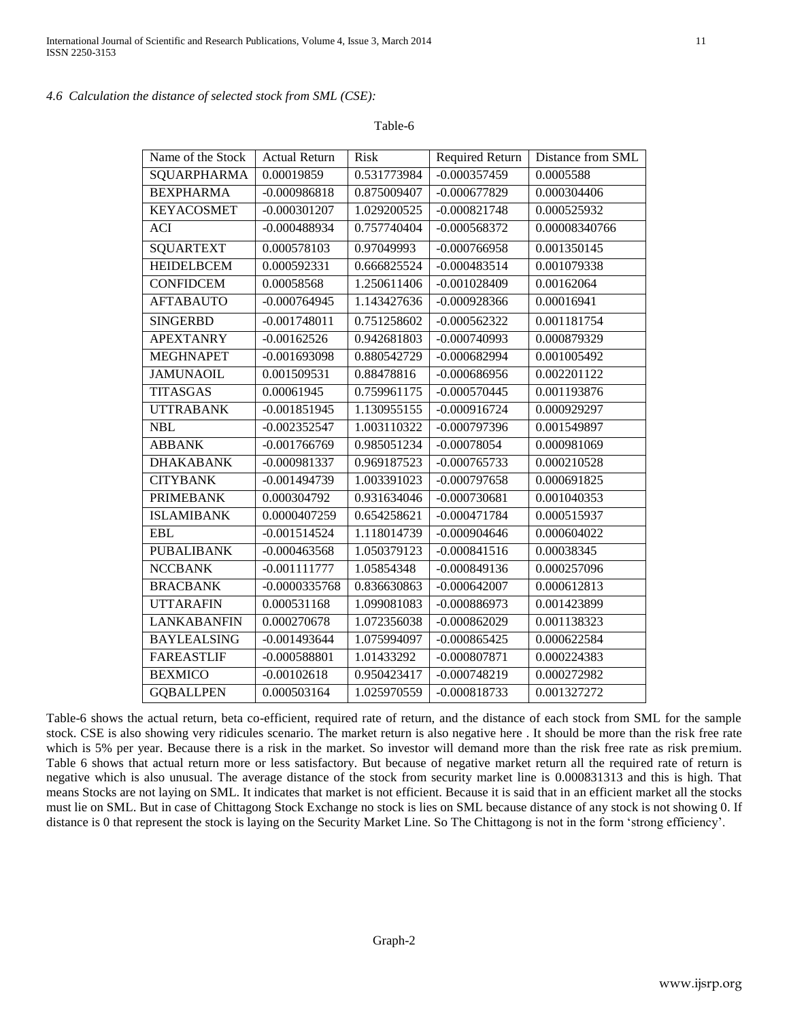## *4.6 Calculation the distance of selected stock from SML (CSE):*

Table-6

| Name of the Stock  | <b>Actual Return</b> | <b>Risk</b> | <b>Required Return</b> | Distance from SML |
|--------------------|----------------------|-------------|------------------------|-------------------|
| SQUARPHARMA        | 0.00019859           | 0.531773984 | $-0.000357459$         | 0.0005588         |
| <b>BEXPHARMA</b>   | $-0.000986818$       | 0.875009407 | $-0.000677829$         | 0.000304406       |
| <b>KEYACOSMET</b>  | $-0.000301207$       | 1.029200525 | $-0.000821748$         | 0.000525932       |
| <b>ACI</b>         | $-0.000488934$       | 0.757740404 | $-0.000568372$         | 0.00008340766     |
| <b>SQUARTEXT</b>   | 0.000578103          | 0.97049993  | $-0.000766958$         | 0.001350145       |
| <b>HEIDELBCEM</b>  | 0.000592331          | 0.666825524 | $-0.000483514$         | 0.001079338       |
| <b>CONFIDCEM</b>   | 0.00058568           | 1.250611406 | $-0.001028409$         | 0.00162064        |
| <b>AFTABAUTO</b>   | $-0.000764945$       | 1.143427636 | $-0.000928366$         | 0.00016941        |
| <b>SINGERBD</b>    | $-0.001748011$       | 0.751258602 | $-0.000562322$         | 0.001181754       |
| <b>APEXTANRY</b>   | $-0.00162526$        | 0.942681803 | $-0.000740993$         | 0.000879329       |
| <b>MEGHNAPET</b>   | $-0.001693098$       | 0.880542729 | $-0.000682994$         | 0.001005492       |
| <b>JAMUNAOIL</b>   | 0.001509531          | 0.88478816  | $-0.000686956$         | 0.002201122       |
| <b>TITASGAS</b>    | 0.00061945           | 0.759961175 | $-0.000570445$         | 0.001193876       |
| <b>UTTRABANK</b>   | $-0.001851945$       | 1.130955155 | $-0.000916724$         | 0.000929297       |
| <b>NBL</b>         | $-0.002352547$       | 1.003110322 | $-0.000797396$         | 0.001549897       |
| <b>ABBANK</b>      | $-0.001766769$       | 0.985051234 | $-0.00078054$          | 0.000981069       |
| <b>DHAKABANK</b>   | $-0.000981337$       | 0.969187523 | $-0.000765733$         | 0.000210528       |
| <b>CITYBANK</b>    | $-0.001494739$       | 1.003391023 | $-0.000797658$         | 0.000691825       |
| <b>PRIMEBANK</b>   | 0.000304792          | 0.931634046 | $-0.000730681$         | 0.001040353       |
| <b>ISLAMIBANK</b>  | 0.0000407259         | 0.654258621 | $-0.000471784$         | 0.000515937       |
| <b>EBL</b>         | $-0.001514524$       | 1.118014739 | $-0.000904646$         | 0.000604022       |
| <b>PUBALIBANK</b>  | $-0.000463568$       | 1.050379123 | $-0.000841516$         | 0.00038345        |
| <b>NCCBANK</b>     | $-0.001111777$       | 1.05854348  | $-0.000849136$         | 0.000257096       |
| <b>BRACBANK</b>    | $-0.0000335768$      | 0.836630863 | $-0.000642007$         | 0.000612813       |
| <b>UTTARAFIN</b>   | 0.000531168          | 1.099081083 | $-0.000886973$         | 0.001423899       |
| <b>LANKABANFIN</b> | 0.000270678          | 1.072356038 | $-0.000862029$         | 0.001138323       |
| <b>BAYLEALSING</b> | $-0.001493644$       | 1.075994097 | $-0.000865425$         | 0.000622584       |
| <b>FAREASTLIF</b>  | $-0.000588801$       | 1.01433292  | $-0.000807871$         | 0.000224383       |
| <b>BEXMICO</b>     | $-0.00102618$        | 0.950423417 | $-0.000748219$         | 0.000272982       |
| <b>GOBALLPEN</b>   | 0.000503164          | 1.025970559 | $-0.000818733$         | 0.001327272       |

Table-6 shows the actual return, beta co-efficient, required rate of return, and the distance of each stock from SML for the sample stock. CSE is also showing very ridicules scenario. The market return is also negative here . It should be more than the risk free rate which is 5% per year. Because there is a risk in the market. So investor will demand more than the risk free rate as risk premium. Table 6 shows that actual return more or less satisfactory. But because of negative market return all the required rate of return is negative which is also unusual. The average distance of the stock from security market line is 0.000831313 and this is high. That means Stocks are not laying on SML. It indicates that market is not efficient. Because it is said that in an efficient market all the stocks must lie on SML. But in case of Chittagong Stock Exchange no stock is lies on SML because distance of any stock is not showing 0. If distance is 0 that represent the stock is laying on the Security Market Line. So The Chittagong is not in the form 'strong efficiency'.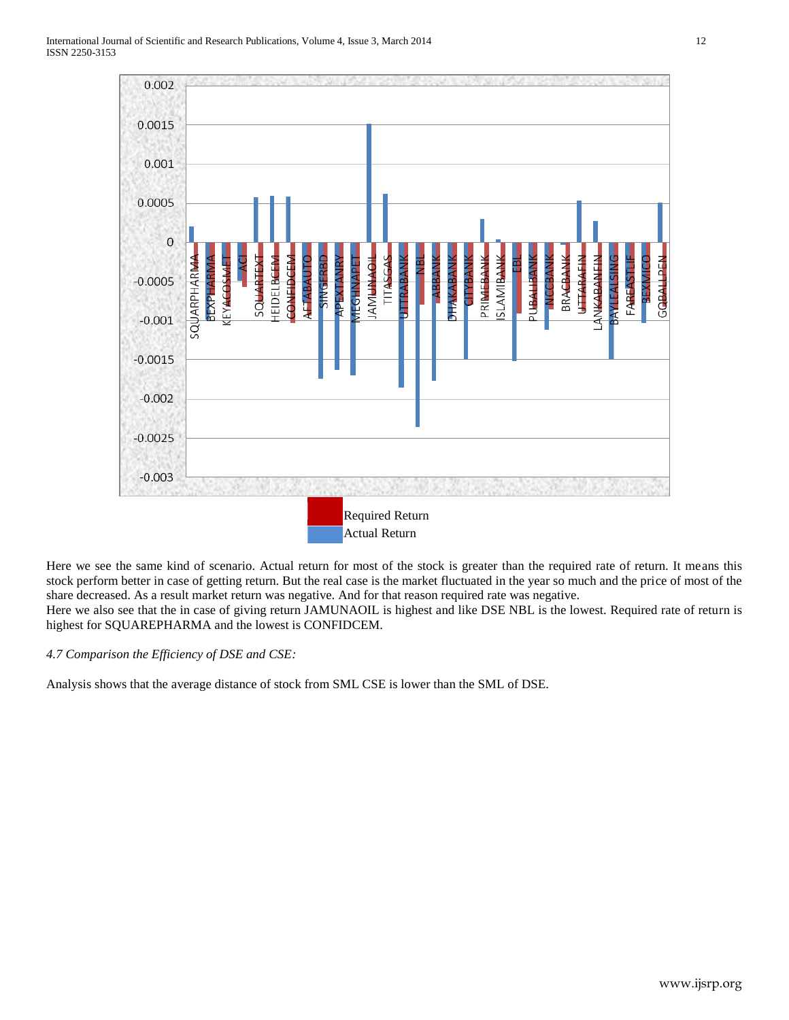

Here we see the same kind of scenario. Actual return for most of the stock is greater than the required rate of return. It means this stock perform better in case of getting return. But the real case is the market fluctuated in the year so much and the price of most of the share decreased. As a result market return was negative. And for that reason required rate was negative.

Here we also see that the in case of giving return JAMUNAOIL is highest and like DSE NBL is the lowest. Required rate of return is highest for SQUAREPHARMA and the lowest is CONFIDCEM.

*4.7 Comparison the Efficiency of DSE and CSE:*

Analysis shows that the average distance of stock from SML CSE is lower than the SML of DSE.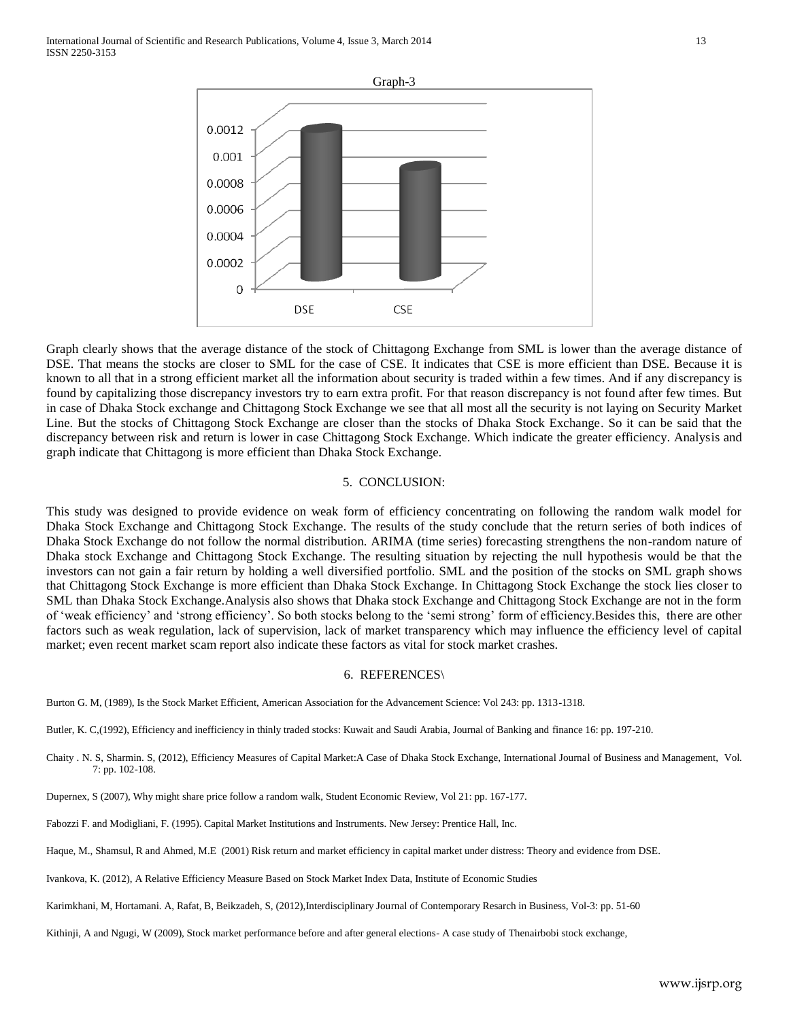

Graph clearly shows that the average distance of the stock of Chittagong Exchange from SML is lower than the average distance of DSE. That means the stocks are closer to SML for the case of CSE. It indicates that CSE is more efficient than DSE. Because it is known to all that in a strong efficient market all the information about security is traded within a few times. And if any discrepancy is found by capitalizing those discrepancy investors try to earn extra profit. For that reason discrepancy is not found after few times. But in case of Dhaka Stock exchange and Chittagong Stock Exchange we see that all most all the security is not laying on Security Market Line. But the stocks of Chittagong Stock Exchange are closer than the stocks of Dhaka Stock Exchange. So it can be said that the discrepancy between risk and return is lower in case Chittagong Stock Exchange. Which indicate the greater efficiency. Analysis and graph indicate that Chittagong is more efficient than Dhaka Stock Exchange.

#### 5. CONCLUSION:

This study was designed to provide evidence on weak form of efficiency concentrating on following the random walk model for Dhaka Stock Exchange and Chittagong Stock Exchange. The results of the study conclude that the return series of both indices of Dhaka Stock Exchange do not follow the normal distribution. ARIMA (time series) forecasting strengthens the non-random nature of Dhaka stock Exchange and Chittagong Stock Exchange. The resulting situation by rejecting the null hypothesis would be that the investors can not gain a fair return by holding a well diversified portfolio. SML and the position of the stocks on SML graph shows that Chittagong Stock Exchange is more efficient than Dhaka Stock Exchange. In Chittagong Stock Exchange the stock lies closer to SML than Dhaka Stock Exchange.Analysis also shows that Dhaka stock Exchange and Chittagong Stock Exchange are not in the form of 'weak efficiency' and 'strong efficiency'. So both stocks belong to the 'semi strong' form of efficiency.Besides this, there are other factors such as weak regulation, lack of supervision, lack of market transparency which may influence the efficiency level of capital market; even recent market scam report also indicate these factors as vital for stock market crashes.

#### 6. REFERENCES\

- Burton G. M, (1989), Is the Stock Market Efficient, American Association for the Advancement Science: Vol 243: pp. 1313-1318.
- Butler, K. C,(1992), Efficiency and inefficiency in thinly traded stocks: Kuwait and Saudi Arabia, Journal of Banking and finance 16: pp. 197-210.
- Chaity . N. S, Sharmin. S, (2012), Efficiency Measures of Capital Market:A Case of Dhaka Stock Exchange, International Journal of Business and Management, Vol. 7: pp. 102-108.
- Dupernex, S (2007), Why might share price follow a random walk, Student Economic Review, Vol 21: pp. 167-177.
- Fabozzi F. and Modigliani, F. (1995). Capital Market Institutions and Instruments. New Jersey: Prentice Hall, Inc.
- Haque, M., Shamsul, R and Ahmed, M.E (2001) Risk return and market efficiency in capital market under distress: Theory and evidence from DSE.
- Ivankova, K. (2012), A Relative Efficiency Measure Based on Stock Market Index Data, Institute of Economic Studies
- Karimkhani, M, Hortamani. A, Rafat, B, Beikzadeh, S, (2012),Interdisciplinary Journal of Contemporary Resarch in Business, Vol-3: pp. 51-60
- Kithinji, A and Ngugi, W (2009), Stock market performance before and after general elections- A case study of Thenairbobi stock exchange,